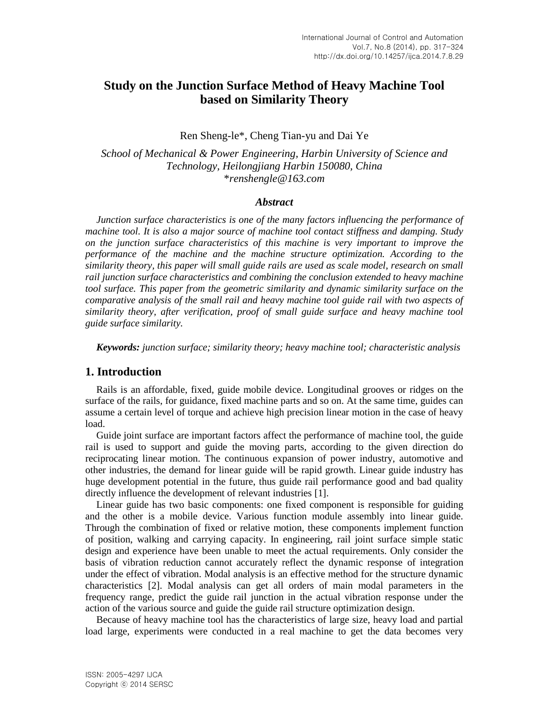# **Study on the Junction Surface Method of Heavy Machine Tool based on Similarity Theory**

Ren Sheng-le\*, Cheng Tian-yu and Dai Ye

*School of Mechanical & Power Engineering, Harbin University of Science and Technology, Heilongjiang Harbin 150080, China* \**renshengle@163.com*

#### *Abstract*

*Junction surface characteristics is one of the many factors influencing the performance of machine tool. It is also a major source of machine tool contact stiffness and damping. Study on the junction surface characteristics of this machine is very important to improve the performance of the machine and the machine structure optimization. According to the similarity theory, this paper will small guide rails are used as scale model, research on small rail junction surface characteristics and combining the conclusion extended to heavy machine tool surface. This paper from the geometric similarity and dynamic similarity surface on the comparative analysis of the small rail and heavy machine tool guide rail with two aspects of similarity theory, after verification, proof of small guide surface and heavy machine tool guide surface similarity.*

*Keywords: junction surface; similarity theory; heavy machine tool; characteristic analysis*

### **1. Introduction**

Rails is an affordable, fixed, guide mobile device. Longitudinal grooves or ridges on the surface of the rails, for guidance, fixed machine parts and so on. At the same time, guides can assume a certain level of torque and achieve high precision linear motion in the case of heavy load.

Guide joint surface are important factors affect the performance of machine tool, the guide rail is used to support and guide the moving parts, according to the given direction do reciprocating linear motion. The continuous expansion of power industry, automotive and other industries, the demand for linear guide will be rapid growth. Linear guide industry has huge development potential in the future, thus guide rail performance good and bad quality directly influence the development of relevant industries [1].

Linear guide has two basic components: one fixed component is responsible for guiding and the other is a mobile device. Various function module assembly into linear guide. Through the combination of fixed or relative motion, these components implement function of position, walking and carrying capacity. In engineering, rail joint surface simple static design and experience have been unable to meet the actual requirements. Only consider the basis of vibration reduction cannot accurately reflect the dynamic response of integration under the effect of vibration. Modal analysis is an effective method for the structure dynamic characteristics [2]. Modal analysis can get all orders of main modal parameters in the frequency range, predict the guide rail junction in the actual vibration response under the action of the various source and guide the guide rail structure optimization design.

Because of heavy machine tool has the characteristics of large size, heavy load and partial load large, experiments were conducted in a real machine to get the data becomes very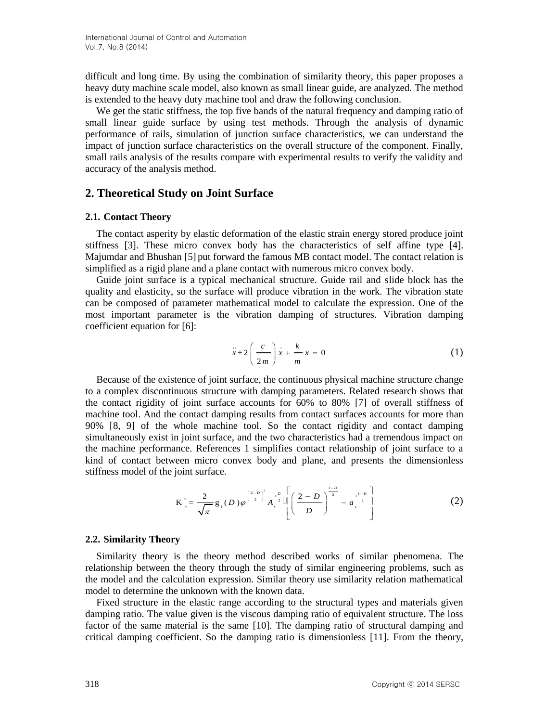difficult and long time. By using the combination of similarity theory, this paper proposes a heavy duty machine scale model, also known as small linear guide, are analyzed. The method is extended to the heavy duty machine tool and draw the following conclusion.

We get the static stiffness, the top five bands of the natural frequency and damping ratio of small linear guide surface by using test methods. Through the analysis of dynamic performance of rails, simulation of junction surface characteristics, we can understand the impact of junction surface characteristics on the overall structure of the component. Finally, small rails analysis of the results compare with experimental results to verify the validity and accuracy of the analysis method.

### **2. Theoretical Study on Joint Surface**

### **2.1. Contact Theory**

The contact asperity by elastic deformation of the elastic strain energy stored produce joint stiffness [3]. These micro convex body has the characteristics of self affine type [4]. Majumdar and Bhushan [5] put forward the famous MB contact model. The contact relation is simplified as a rigid plane and a plane contact with numerous micro convex body.

Guide joint surface is a typical mechanical structure. Guide rail and slide block has the quality and elasticity, so the surface will produce vibration in the work. The vibration state can be composed of parameter mathematical model to calculate the expression. One of the most important parameter is the vibration damping of structures. Vibration damping coefficient equation for [6]:

$$
\ddot{x} + 2\left(\frac{c}{2m}\right)\dot{x} + \frac{k}{m}x = 0\tag{1}
$$

Because of the existence of joint surface, the continuous physical machine structure change to a complex discontinuous structure with damping parameters. Related research shows that the contact rigidity of joint surface accounts for 60% to 80% [7] of overall stiffness of machine tool. And the contact damping results from contact surfaces accounts for more than 90% [8, 9] of the whole machine tool. So the contact rigidity and contact damping simultaneously exist in joint surface, and the two characteristics had a tremendous impact on the machine performance. References 1 simplifies contact relationship of joint surface to a kind of contact between micro convex body and plane, and presents the dimensionless stiffness model of the joint surface.

$$
K_{n}^{*} = \frac{2}{\sqrt{\pi}} g_{1}(D) \varphi^{\left(\frac{2-D}{2}\right)^{2}} A_{n}^{* \frac{D}{2}} \left[ \left( \frac{2-D}{D} \right)^{\frac{1-D}{2}} - a_{c}^{* \frac{1-D}{2}} \right]
$$
(2)

### **2.2. Similarity Theory**

Similarity theory is the theory method described works of similar phenomena. The relationship between the theory through the study of similar engineering problems, such as the model and the calculation expression. Similar theory use similarity relation mathematical model to determine the unknown with the known data.

Fixed structure in the elastic range according to the structural types and materials given damping ratio. The value given is the viscous damping ratio of equivalent structure. The loss factor of the same material is the same [10]. The damping ratio of structural damping and critical damping coefficient. So the damping ratio is dimensionless [11]. From the theory,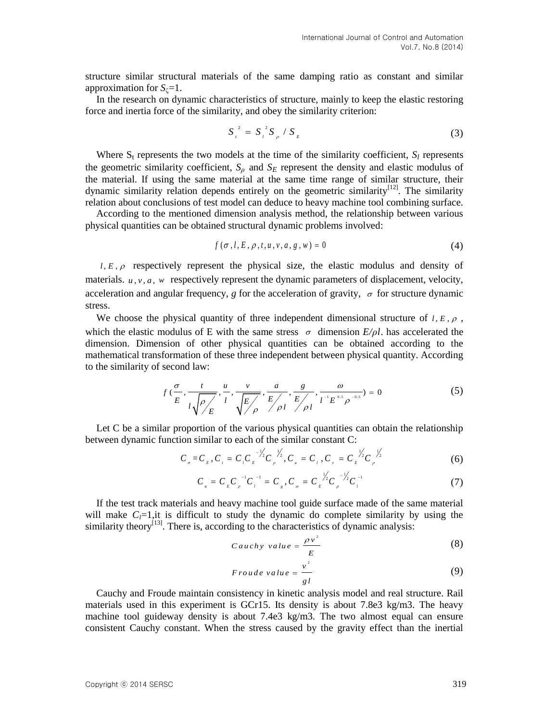structure similar structural materials of the same damping ratio as constant and similar approximation for  $S_{\zeta}=1$ .

In the research on dynamic characteristics of structure, mainly to keep the elastic restoring force and inertia force of the similarity, and obey the similarity criterion:

$$
S_{i}^{2} = S_{i}^{2} S_{\rho} / S_{E}
$$
 (3)

Where  $S_t$  represents the two models at the time of the similarity coefficient,  $S_l$  represents the geometric similarity coefficient,  $S_\rho$  and  $S_E$  represent the density and elastic modulus of the material. If using the same material at the same time range of similar structure, their dynamic similarity relation depends entirely on the geometric similarity[12]. The similarity relation about conclusions of test model can deduce to heavy machine tool combining surface.

According to the mentioned dimension analysis method, the relationship between various physical quantities can be obtained structural dynamic problems involved:

$$
f(\sigma, l, E, \rho, t, u, v, a, g, w) = 0
$$
\n<sup>(4)</sup>

 $l, E, \rho$  respectively represent the physical size, the elastic modulus and density of materials.  $u, v, a, w$  respectively represent the dynamic parameters of displacement, velocity, acceleration and angular frequency,  $g$  for the acceleration of gravity,  $\sigma$  for structure dynamic stress.

We choose the physical quantity of three independent dimensional structure of  $l, E, \rho$ , which the elastic modulus of E with the same stress  $\sigma$  dimension  $E/\rho l$ . has accelerated the dimension. Dimension of other physical quantities can be obtained according to the mathematical transformation of these three independent between physical quantity. According to the similarity of second law:

second law:  
\n
$$
f\left(\frac{\sigma}{E}, \frac{t}{l\sqrt{\rho/ E}}, \frac{u}{l}, \frac{v}{lE/ E}, \frac{a}{E/ E}, \frac{g}{E/ E}/ \frac{a}{l^{-1}E^{0.5} \rho^{-0.5}} \right) = 0
$$
\n(5)

Let C be a similar proportion of the various physical quantities can obtain the relationship

between dynamic function similar to each of the similar constant C:  
\n
$$
C_{\sigma} = C_{\epsilon}, C_{\tau} = C_{\tau} C_{\epsilon}^{-\frac{1}{2}} C_{\rho}^{-\frac{1}{2}}, C_{\mu} = C_{\tau}, C_{\nu} = C_{\epsilon}^{-\frac{1}{2}} C_{\rho}^{-\frac{1}{2}} \tag{6}
$$

$$
C_{a} = C_{E} C_{\rho}^{-1} C_{i}^{-1} = C_{g}, C_{\rho} = C_{E} \frac{\frac{1}{2}}{2} C_{\rho}^{-1/2} C_{i}^{-1}
$$
 (7)

If the test track materials and heavy machine tool guide surface made of the same material will make  $C<sub>i</sub>=1$ , it is difficult to study the dynamic do complete similarity by using the similarity theory<sup>[13]</sup>. There is, according to the characteristics of dynamic analysis:

$$
Cauchy value = \frac{\rho v^2}{E}
$$
 (8)

$$
Froude value = \frac{v^2}{gl} \tag{9}
$$

Cauchy and Froude maintain consistency in kinetic analysis model and real structure. Rail materials used in this experiment is GCr15. Its density is about 7.8e3 kg/m3. The heavy machine tool guideway density is about 7.4e3 kg/m3. The two almost equal can ensure consistent Cauchy constant. When the stress caused by the gravity effect than the inertial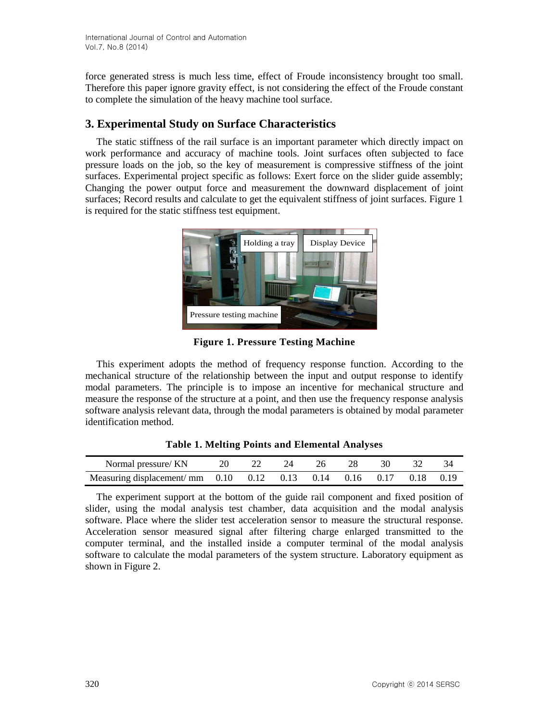force generated stress is much less time, effect of Froude inconsistency brought too small. Therefore this paper ignore gravity effect, is not considering the effect of the Froude constant to complete the simulation of the heavy machine tool surface.

# **3. Experimental Study on Surface Characteristics**

The static stiffness of the rail surface is an important parameter which directly impact on work performance and accuracy of machine tools. Joint surfaces often subjected to face pressure loads on the job, so the key of measurement is compressive stiffness of the joint surfaces. Experimental project specific as follows: Exert force on the slider guide assembly; Changing the power output force and measurement the downward displacement of joint surfaces; Record results and calculate to get the equivalent stiffness of joint surfaces. Figure 1 is required for the static stiffness test equipment.



**Figure 1. Pressure Testing Machine**

This experiment adopts the method of frequency response function. According to the mechanical structure of the relationship between the input and output response to identify modal parameters. The principle is to impose an incentive for mechanical structure and measure the response of the structure at a point, and then use the frequency response analysis software analysis relevant data, through the modal parameters is obtained by modal parameter identification method.

| Normal pressure/ KN                                                | 20. |  |  | -30 |  |
|--------------------------------------------------------------------|-----|--|--|-----|--|
| Measuring displacement/ mm 0.10 0.12 0.13 0.14 0.16 0.17 0.18 0.19 |     |  |  |     |  |

**Table 1. Melting Points and Elemental Analyses**

The experiment support at the bottom of the guide rail component and fixed position of slider, using the modal analysis test chamber, data acquisition and the modal analysis software. Place where the slider test acceleration sensor to measure the structural response. Acceleration sensor measured signal after filtering charge enlarged transmitted to the computer terminal, and the installed inside a computer terminal of the modal analysis software to calculate the modal parameters of the system structure. Laboratory equipment as shown in Figure 2.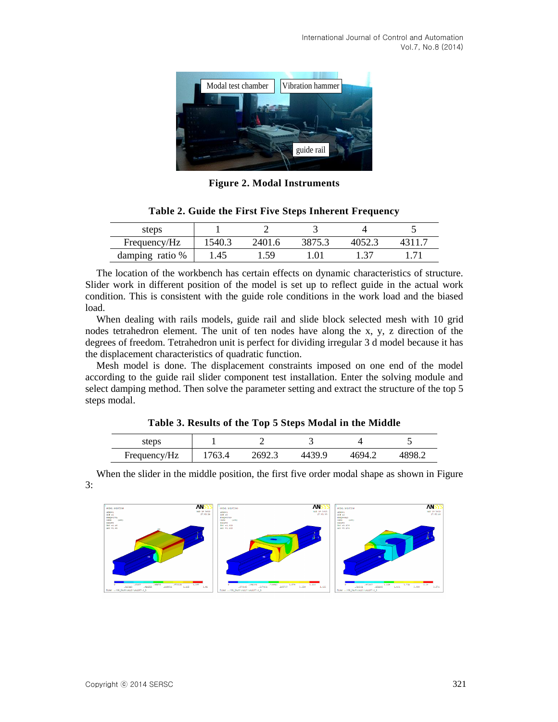

**Figure 2. Modal Instruments**

| steps           |        |       |  |  |
|-----------------|--------|-------|--|--|
| Frequency/Hz    | .540.3 | 24O 1 |  |  |
| damping ratio % | .45    | 50    |  |  |

**Table 2. Guide the First Five Steps Inherent Frequency**

The location of the workbench has certain effects on dynamic characteristics of structure. Slider work in different position of the model is set up to reflect guide in the actual work condition. This is consistent with the guide role conditions in the work load and the biased load.

When dealing with rails models, guide rail and slide block selected mesh with 10 grid nodes tetrahedron element. The unit of ten nodes have along the x, y, z direction of the degrees of freedom. Tetrahedron unit is perfect for dividing irregular 3 d model because it has the displacement characteristics of quadratic function.

Mesh model is done. The displacement constraints imposed on one end of the model according to the guide rail slider component test installation. Enter the solving module and select damping method. Then solve the parameter setting and extract the structure of the top 5 steps modal.

#### **Table 3. Results of the Top 5 Steps Modal in the Middle**

| steps        |        |        |        |        |        |
|--------------|--------|--------|--------|--------|--------|
| Frequency/Hz | 1763.4 | 2692.3 | 4439 Q | 4694.∠ | 4898.2 |

When the slider in the middle position, the first five order modal shape as shown in Figure 3:

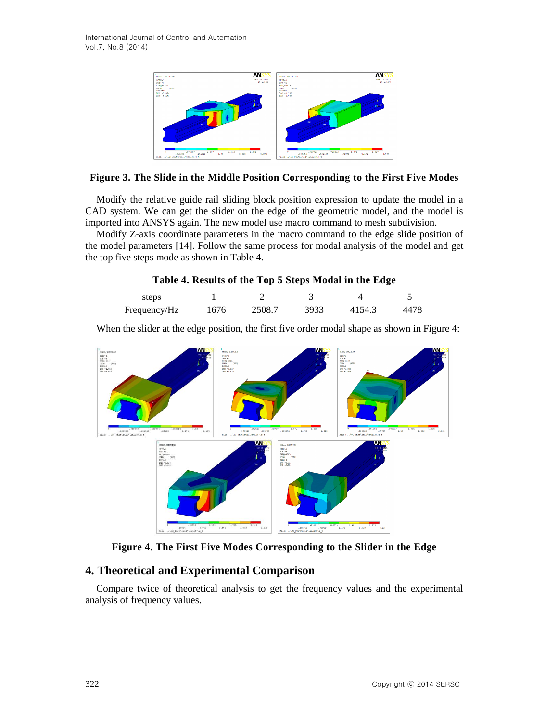

### **Figure 3. The Slide in the Middle Position Corresponding to the First Five Modes**

Modify the relative guide rail sliding block position expression to update the model in a CAD system. We can get the slider on the edge of the geometric model, and the model is imported into ANSYS again. The new model use macro command to mesh subdivision.

Modify Z-axis coordinate parameters in the macro command to the edge slide position of the model parameters [14]. Follow the same process for modal analysis of the model and get the top five steps mode as shown in Table 4.

|  |  |  | Table 4. Results of the Top 5 Steps Modal in the Edge |
|--|--|--|-------------------------------------------------------|
|  |  |  |                                                       |

| steps        |      |     |          |  |
|--------------|------|-----|----------|--|
| Frequency/Hz | 10/0 | ر _ | ١4<br>т. |  |

When the slider at the edge position, the first five order modal shape as shown in Figure 4:



**Figure 4. The First Five Modes Corresponding to the Slider in the Edge**

## **4. Theoretical and Experimental Comparison**

Compare twice of theoretical analysis to get the frequency values and the experimental analysis of frequency values.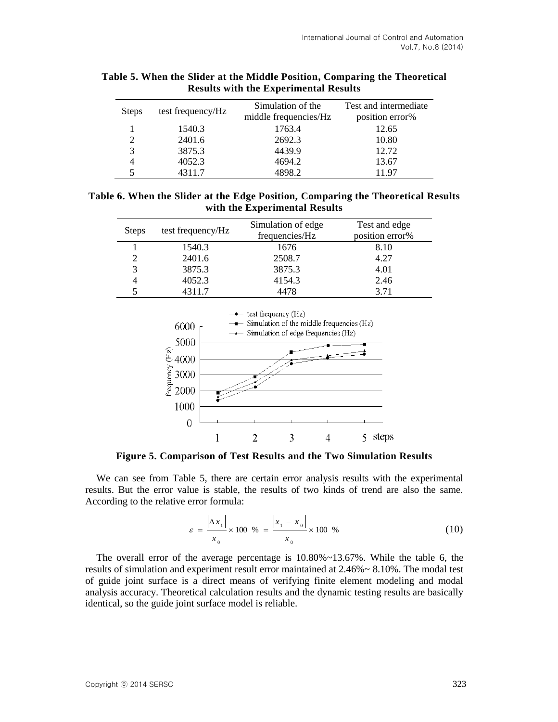| <b>Steps</b> | test frequency/Hz | Simulation of the<br>middle frequencies/Hz | Test and intermediate<br>position error% |
|--------------|-------------------|--------------------------------------------|------------------------------------------|
|              | 1540.3            | 1763.4                                     | 12.65                                    |
| 2            | 2401.6            | 2692.3                                     | 10.80                                    |
| 3            | 3875.3            | 4439.9                                     | 12.72                                    |
|              | 4052.3            | 4694.2                                     | 13.67                                    |
|              | 4311.7            | 4898.2                                     | 1197                                     |

| Table 5. When the Slider at the Middle Position, Comparing the Theoretical |
|----------------------------------------------------------------------------|
| <b>Results with the Experimental Results</b>                               |

**Table 6. When the Slider at the Edge Position, Comparing the Theoretical Results with the Experimental Results**

| <b>Steps</b> | test frequency/Hz | Simulation of edge<br>frequencies/Hz | Test and edge<br>position error% |
|--------------|-------------------|--------------------------------------|----------------------------------|
|              | 1540.3            | 1676                                 | 8.10                             |
|              | 2401.6            | 2508.7                               | 4.27                             |
| 3            | 3875.3            | 3875.3                               | 4.01                             |
|              | 4052.3            | 4154.3                               | 2.46                             |
|              | 4311.7            | 4478                                 | 3 71                             |



**Figure 5. Comparison of Test Results and the Two Simulation Results**

We can see from Table 5, there are certain error analysis results with the experimental results. But the error value is stable, the results of two kinds of trend are also the same. According to the relative error formula:

$$
\varepsilon = \frac{|\Delta x_1|}{x_0} \times 100 \quad \% = \frac{|x_1 - x_0|}{x_0} \times 100 \quad \% \tag{10}
$$

The overall error of the average percentage is  $10.80\% \sim 13.67\%$ . While the table 6, the results of simulation and experiment result error maintained at 2.46%~ 8.10%. The modal test of guide joint surface is a direct means of verifying finite element modeling and modal analysis accuracy. Theoretical calculation results and the dynamic testing results are basically identical, so the guide joint surface model is reliable.